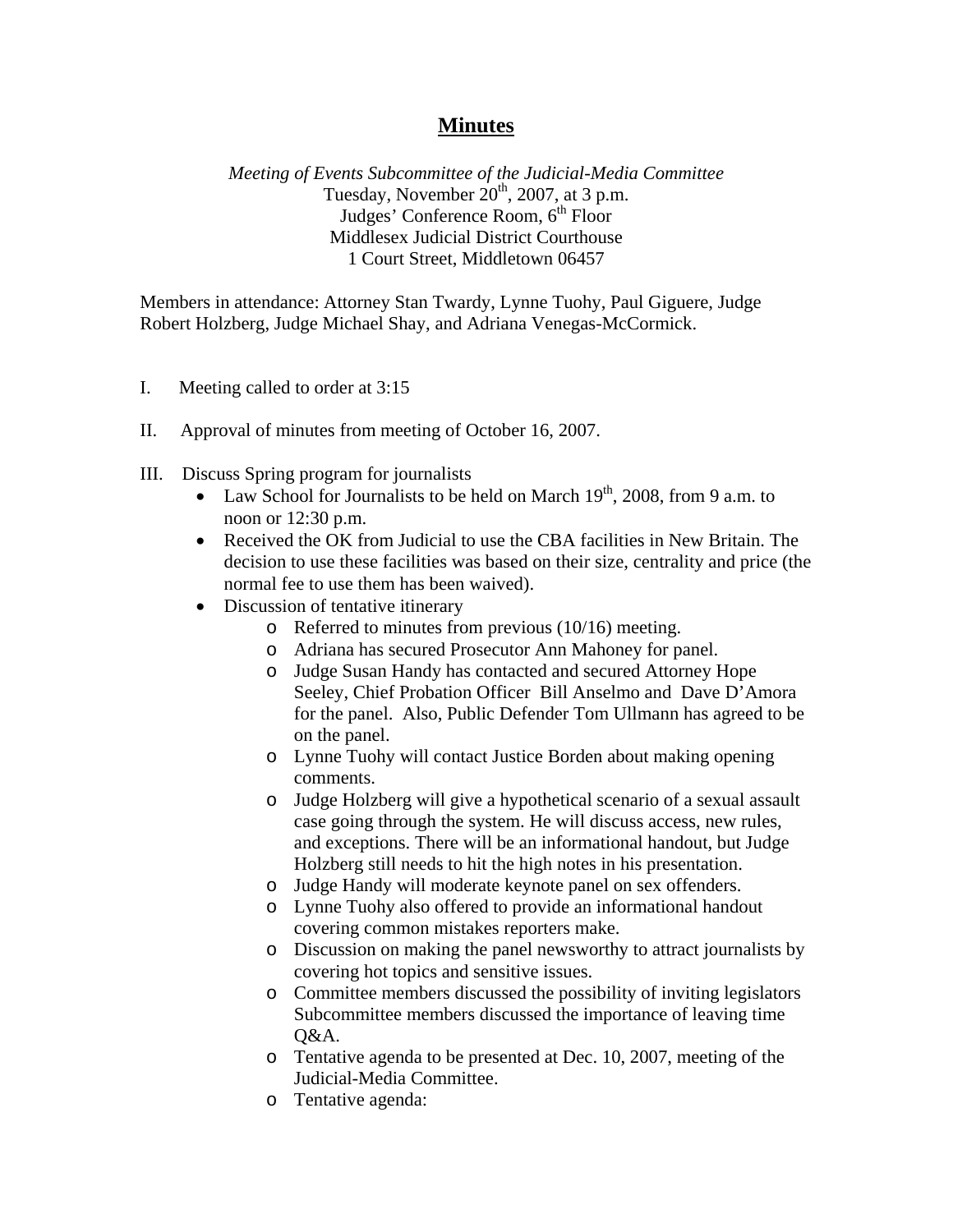## **Minutes**

*Meeting of Events Subcommittee of the Judicial-Media Committee*  Tuesday, November  $20^{th}$ , 2007, at 3 p.m. Judges' Conference Room, 6<sup>th</sup> Floor Middlesex Judicial District Courthouse 1 Court Street, Middletown 06457

Members in attendance: Attorney Stan Twardy, Lynne Tuohy, Paul Giguere, Judge Robert Holzberg, Judge Michael Shay, and Adriana Venegas-McCormick.

- I. Meeting called to order at 3:15
- II. Approval of minutes from meeting of October 16, 2007.
- III. Discuss Spring program for journalists
	- Law School for Journalists to be held on March  $19<sup>th</sup>$ , 2008, from 9 a.m. to noon or 12:30 p.m.
	- Received the OK from Judicial to use the CBA facilities in New Britain. The decision to use these facilities was based on their size, centrality and price (the normal fee to use them has been waived).
	- Discussion of tentative itinerary
		- o Referred to minutes from previous (10/16) meeting.
		- o Adriana has secured Prosecutor Ann Mahoney for panel.
		- o Judge Susan Handy has contacted and secured Attorney Hope Seeley, Chief Probation Officer Bill Anselmo and Dave D'Amora for the panel. Also, Public Defender Tom Ullmann has agreed to be on the panel.
		- o Lynne Tuohy will contact Justice Borden about making opening comments.
		- o Judge Holzberg will give a hypothetical scenario of a sexual assault case going through the system. He will discuss access, new rules, and exceptions. There will be an informational handout, but Judge Holzberg still needs to hit the high notes in his presentation.
		- o Judge Handy will moderate keynote panel on sex offenders.
		- o Lynne Tuohy also offered to provide an informational handout covering common mistakes reporters make.
		- o Discussion on making the panel newsworthy to attract journalists by covering hot topics and sensitive issues.
		- o Committee members discussed the possibility of inviting legislators Subcommittee members discussed the importance of leaving time  $O&A$ .
		- o Tentative agenda to be presented at Dec. 10, 2007, meeting of the Judicial-Media Committee.
		- o Tentative agenda: